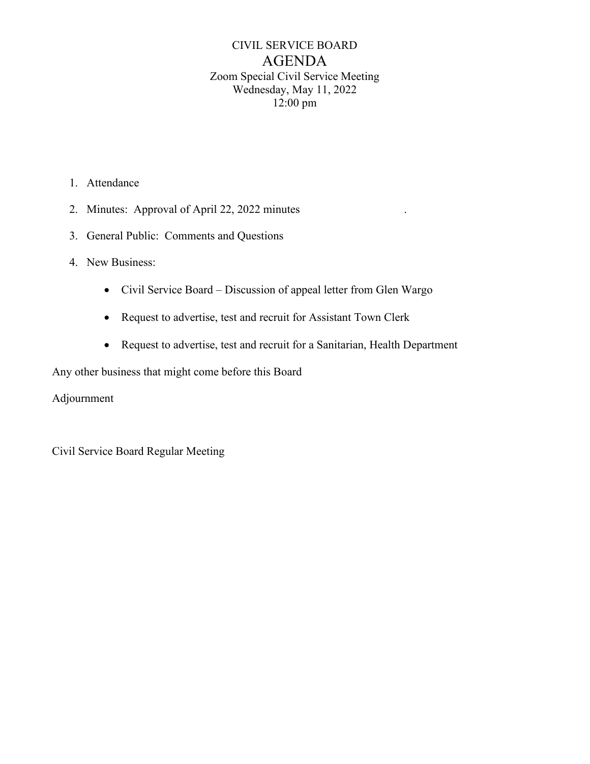# CIVIL SERVICE BOARD AGENDA Zoom Special Civil Service Meeting Wednesday, May 11, 2022 12:00 pm

- 1. Attendance
- 2. Minutes: Approval of April 22, 2022 minutes
- 3. General Public: Comments and Questions
- 4. New Business:
	- Civil Service Board Discussion of appeal letter from Glen Wargo
	- Request to advertise, test and recruit for Assistant Town Clerk
	- Request to advertise, test and recruit for a Sanitarian, Health Department

Any other business that might come before this Board

Adjournment

Civil Service Board Regular Meeting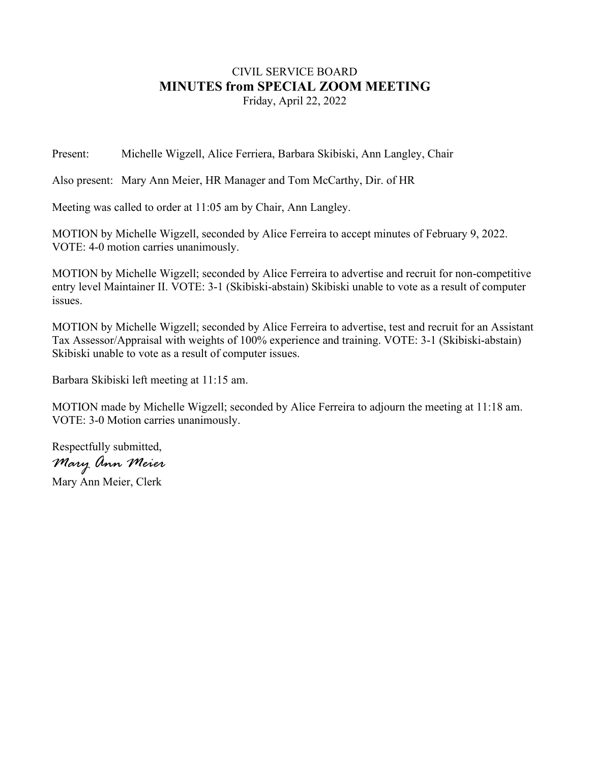### CIVIL SERVICE BOARD **MINUTES from SPECIAL ZOOM MEETING** Friday, April 22, 2022

Present: Michelle Wigzell, Alice Ferriera, Barbara Skibiski, Ann Langley, Chair

Also present: Mary Ann Meier, HR Manager and Tom McCarthy, Dir. of HR

Meeting was called to order at 11:05 am by Chair, Ann Langley.

MOTION by Michelle Wigzell, seconded by Alice Ferreira to accept minutes of February 9, 2022. VOTE: 4-0 motion carries unanimously.

MOTION by Michelle Wigzell; seconded by Alice Ferreira to advertise and recruit for non-competitive entry level Maintainer II. VOTE: 3-1 (Skibiski-abstain) Skibiski unable to vote as a result of computer issues.

MOTION by Michelle Wigzell; seconded by Alice Ferreira to advertise, test and recruit for an Assistant Tax Assessor/Appraisal with weights of 100% experience and training. VOTE: 3-1 (Skibiski-abstain) Skibiski unable to vote as a result of computer issues.

Barbara Skibiski left meeting at 11:15 am.

MOTION made by Michelle Wigzell; seconded by Alice Ferreira to adjourn the meeting at 11:18 am. VOTE: 3-0 Motion carries unanimously.

Respectfully submitted, *Mary Ann Meier*

Mary Ann Meier, Clerk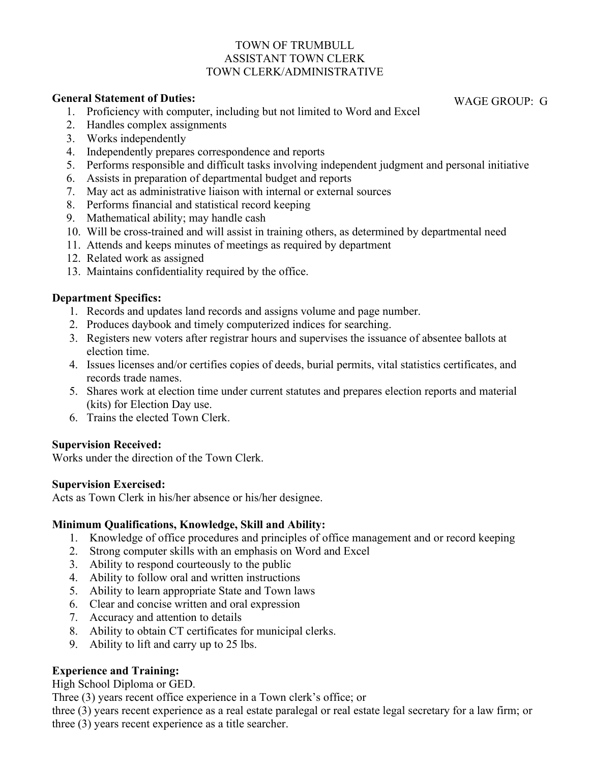#### TOWN OF TRUMBULL ASSISTANT TOWN CLERK TOWN CLERK/ADMINISTRATIVE

#### **General Statement of Duties:**

- 1. Proficiency with computer, including but not limited to Word and Excel
- 2. Handles complex assignments
- 3. Works independently
- 4. Independently prepares correspondence and reports
- 5. Performs responsible and difficult tasks involving independent judgment and personal initiative
- 6. Assists in preparation of departmental budget and reports
- 7. May act as administrative liaison with internal or external sources
- 8. Performs financial and statistical record keeping
- 9. Mathematical ability; may handle cash
- 10. Will be cross-trained and will assist in training others, as determined by departmental need
- 11. Attends and keeps minutes of meetings as required by department
- 12. Related work as assigned
- 13. Maintains confidentiality required by the office.

## **Department Specifics:**

- 1. Records and updates land records and assigns volume and page number.
- 2. Produces daybook and timely computerized indices for searching.
- 3. Registers new voters after registrar hours and supervises the issuance of absentee ballots at election time.
- 4. Issues licenses and/or certifies copies of deeds, burial permits, vital statistics certificates, and records trade names.
- 5. Shares work at election time under current statutes and prepares election reports and material (kits) for Election Day use.
- 6. Trains the elected Town Clerk.

### **Supervision Received:**

Works under the direction of the Town Clerk.

### **Supervision Exercised:**

Acts as Town Clerk in his/her absence or his/her designee.

# **Minimum Qualifications, Knowledge, Skill and Ability:**

- 1. Knowledge of office procedures and principles of office management and or record keeping
- 2. Strong computer skills with an emphasis on Word and Excel
- 3. Ability to respond courteously to the public
- 4. Ability to follow oral and written instructions
- 5. Ability to learn appropriate State and Town laws
- 6. Clear and concise written and oral expression
- 7. Accuracy and attention to details
- 8. Ability to obtain CT certificates for municipal clerks.
- 9. Ability to lift and carry up to 25 lbs.

# **Experience and Training:**

High School Diploma or GED.

Three (3) years recent office experience in a Town clerk's office; or

three (3) years recent experience as a real estate paralegal or real estate legal secretary for a law firm; or three (3) years recent experience as a title searcher.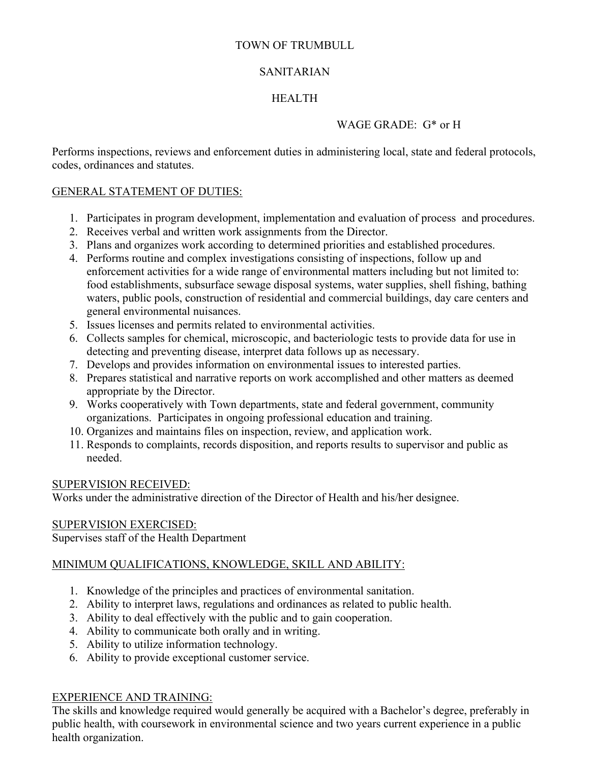# TOWN OF TRUMBULL

## SANITARIAN

# HEALTH

# WAGE GRADE: G\* or H

Performs inspections, reviews and enforcement duties in administering local, state and federal protocols, codes, ordinances and statutes.

## GENERAL STATEMENT OF DUTIES:

- 1. Participates in program development, implementation and evaluation of process and procedures.
- 2. Receives verbal and written work assignments from the Director.
- 3. Plans and organizes work according to determined priorities and established procedures.
- 4. Performs routine and complex investigations consisting of inspections, follow up and enforcement activities for a wide range of environmental matters including but not limited to: food establishments, subsurface sewage disposal systems, water supplies, shell fishing, bathing waters, public pools, construction of residential and commercial buildings, day care centers and general environmental nuisances.
- 5. Issues licenses and permits related to environmental activities.
- 6. Collects samples for chemical, microscopic, and bacteriologic tests to provide data for use in detecting and preventing disease, interpret data follows up as necessary.
- 7. Develops and provides information on environmental issues to interested parties.
- 8. Prepares statistical and narrative reports on work accomplished and other matters as deemed appropriate by the Director.
- 9. Works cooperatively with Town departments, state and federal government, community organizations. Participates in ongoing professional education and training.
- 10. Organizes and maintains files on inspection, review, and application work.
- 11. Responds to complaints, records disposition, and reports results to supervisor and public as needed.

### SUPERVISION RECEIVED:

Works under the administrative direction of the Director of Health and his/her designee.

# SUPERVISION EXERCISED:

Supervises staff of the Health Department

# MINIMUM QUALIFICATIONS, KNOWLEDGE, SKILL AND ABILITY:

- 1. Knowledge of the principles and practices of environmental sanitation.
- 2. Ability to interpret laws, regulations and ordinances as related to public health.
- 3. Ability to deal effectively with the public and to gain cooperation.
- 4. Ability to communicate both orally and in writing.
- 5. Ability to utilize information technology.
- 6. Ability to provide exceptional customer service.

### EXPERIENCE AND TRAINING:

The skills and knowledge required would generally be acquired with a Bachelor's degree, preferably in public health, with coursework in environmental science and two years current experience in a public health organization.